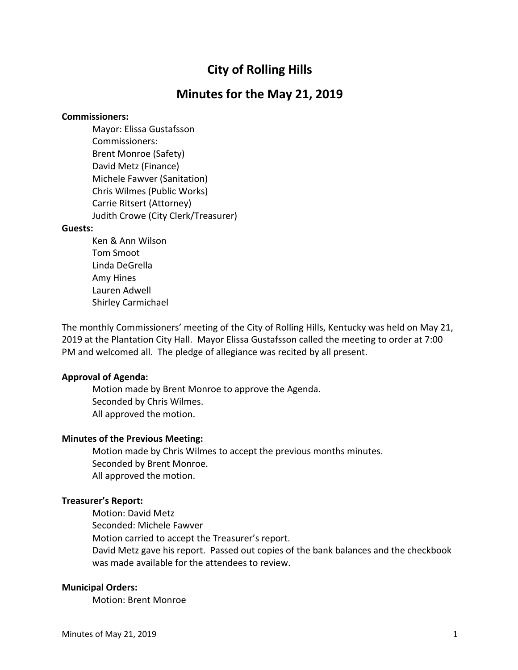# **City of Rolling Hills**

# **Minutes for the May 21, 2019**

#### **Commissioners:**

Mayor: Elissa Gustafsson Commissioners: Brent Monroe (Safety) David Metz (Finance) Michele Fawver (Sanitation) Chris Wilmes (Public Works) Carrie Ritsert (Attorney) Judith Crowe (City Clerk/Treasurer)

#### **Guests:**

Ken & Ann Wilson Tom Smoot Linda DeGrella Amy Hines Lauren Adwell Shirley Carmichael

The monthly Commissioners' meeting of the City of Rolling Hills, Kentucky was held on May 21, 2019 at the Plantation City Hall. Mayor Elissa Gustafsson called the meeting to order at 7:00 PM and welcomed all. The pledge of allegiance was recited by all present.

# **Approval of Agenda:**

Motion made by Brent Monroe to approve the Agenda. Seconded by Chris Wilmes. All approved the motion.

#### **Minutes of the Previous Meeting:**

Motion made by Chris Wilmes to accept the previous months minutes. Seconded by Brent Monroe. All approved the motion.

#### **Treasurer's Report:**

Motion: David Metz Seconded: Michele Fawver Motion carried to accept the Treasurer's report. David Metz gave his report. Passed out copies of the bank balances and the checkbook was made available for the attendees to review.

### **Municipal Orders:**

Motion: Brent Monroe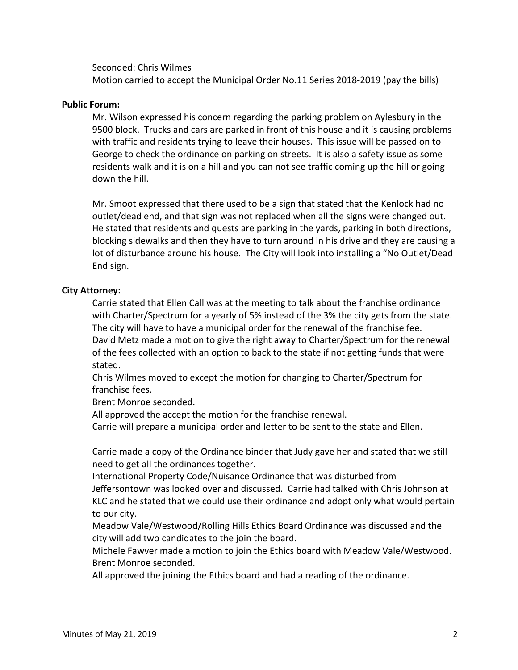### Seconded: Chris Wilmes

Motion carried to accept the Municipal Order No.11 Series 2018-2019 (pay the bills)

# **Public Forum:**

Mr. Wilson expressed his concern regarding the parking problem on Aylesbury in the 9500 block. Trucks and cars are parked in front of this house and it is causing problems with traffic and residents trying to leave their houses. This issue will be passed on to George to check the ordinance on parking on streets. It is also a safety issue as some residents walk and it is on a hill and you can not see traffic coming up the hill or going down the hill.

Mr. Smoot expressed that there used to be a sign that stated that the Kenlock had no outlet/dead end, and that sign was not replaced when all the signs were changed out. He stated that residents and quests are parking in the yards, parking in both directions, blocking sidewalks and then they have to turn around in his drive and they are causing a lot of disturbance around his house. The City will look into installing a "No Outlet/Dead End sign.

## **City Attorney:**

Carrie stated that Ellen Call was at the meeting to talk about the franchise ordinance with Charter/Spectrum for a yearly of 5% instead of the 3% the city gets from the state. The city will have to have a municipal order for the renewal of the franchise fee. David Metz made a motion to give the right away to Charter/Spectrum for the renewal of the fees collected with an option to back to the state if not getting funds that were stated.

Chris Wilmes moved to except the motion for changing to Charter/Spectrum for franchise fees.

Brent Monroe seconded.

All approved the accept the motion for the franchise renewal.

Carrie will prepare a municipal order and letter to be sent to the state and Ellen.

Carrie made a copy of the Ordinance binder that Judy gave her and stated that we still need to get all the ordinances together.

International Property Code/Nuisance Ordinance that was disturbed from Jeffersontown was looked over and discussed. Carrie had talked with Chris Johnson at KLC and he stated that we could use their ordinance and adopt only what would pertain to our city.

Meadow Vale/Westwood/Rolling Hills Ethics Board Ordinance was discussed and the city will add two candidates to the join the board.

Michele Fawver made a motion to join the Ethics board with Meadow Vale/Westwood. Brent Monroe seconded.

All approved the joining the Ethics board and had a reading of the ordinance.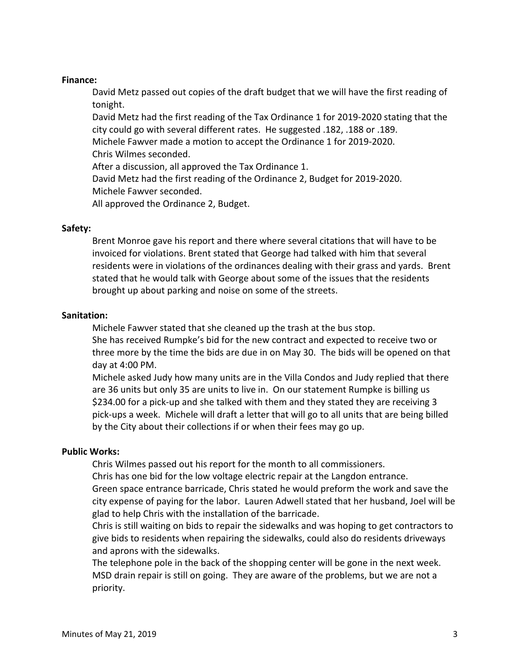## **Finance:**

David Metz passed out copies of the draft budget that we will have the first reading of tonight.

David Metz had the first reading of the Tax Ordinance 1 for 2019-2020 stating that the city could go with several different rates. He suggested .182, .188 or .189. Michele Fawver made a motion to accept the Ordinance 1 for 2019-2020.

Chris Wilmes seconded.

After a discussion, all approved the Tax Ordinance 1.

David Metz had the first reading of the Ordinance 2, Budget for 2019-2020. Michele Fawver seconded.

All approved the Ordinance 2, Budget.

# **Safety:**

Brent Monroe gave his report and there where several citations that will have to be invoiced for violations. Brent stated that George had talked with him that several residents were in violations of the ordinances dealing with their grass and yards. Brent stated that he would talk with George about some of the issues that the residents brought up about parking and noise on some of the streets.

# **Sanitation:**

Michele Fawver stated that she cleaned up the trash at the bus stop. She has received Rumpke's bid for the new contract and expected to receive two or three more by the time the bids are due in on May 30. The bids will be opened on that day at 4:00 PM.

Michele asked Judy how many units are in the Villa Condos and Judy replied that there are 36 units but only 35 are units to live in. On our statement Rumpke is billing us \$234.00 for a pick-up and she talked with them and they stated they are receiving 3 pick-ups a week. Michele will draft a letter that will go to all units that are being billed by the City about their collections if or when their fees may go up.

# **Public Works:**

Chris Wilmes passed out his report for the month to all commissioners.

Chris has one bid for the low voltage electric repair at the Langdon entrance.

Green space entrance barricade, Chris stated he would preform the work and save the city expense of paying for the labor. Lauren Adwell stated that her husband, Joel will be glad to help Chris with the installation of the barricade.

Chris is still waiting on bids to repair the sidewalks and was hoping to get contractors to give bids to residents when repairing the sidewalks, could also do residents driveways and aprons with the sidewalks.

The telephone pole in the back of the shopping center will be gone in the next week. MSD drain repair is still on going. They are aware of the problems, but we are not a priority.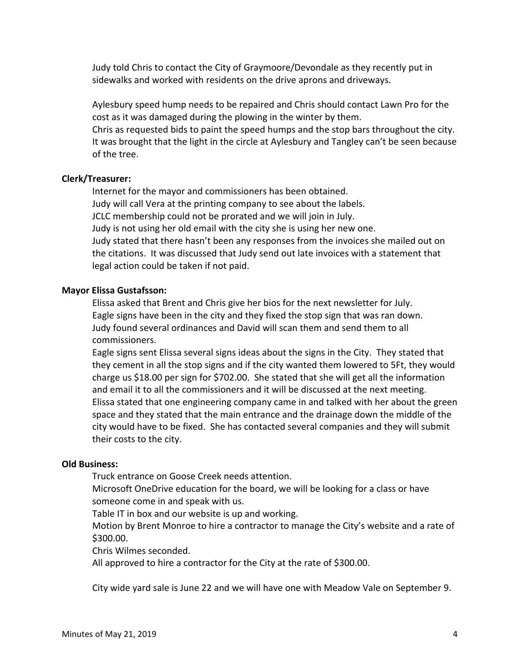Judy told Chris to contact the City of Graymoore/Devondale as they recently put in sidewalks and worked with residents on the drive aprons and driveways.

Aylesbury speed hump needs to be repaired and Chris should contact Lawn Pro for the cost as it was damaged during the plowing in the winter by them.

Chris as requested bids to paint the speed humps and the stop bars throughout the city. It was brought that the light in the circle at Aylesbury and Tangley can't be seen because of the tree.

#### **Clerk/Treasurer:**

Internet for the mayor and commissioners has been obtained. Judy will call Vera at the printing company to see about the labels. JCLC membership could not be prorated and we will join in July. Judy is not using her old email with the city she is using her new one. Judy stated that there hasn't been any responses from the invoices she mailed out on the citations. It was discussed that Judy send out late invoices with a statement that legal action could be taken if not paid.

#### **Mayor Elissa Gustafsson:**

Elissa asked that Brent and Chris give her bios for the next newsletter for July. Eagle signs have been in the city and they fixed the stop sign that was ran down. Judy found several ordinances and David will scan them and send them to all commissioners.

Eagle signs sent Elissa several signs ideas about the signs in the City. They stated that they cement in all the stop signs and if the city wanted them lowered to 5Ft, they would charge us \$18.00 per sign for \$702.00. She stated that she will get all the information and email it to all the commissioners and it will be discussed at the next meeting. Elissa stated that one engineering company came in and talked with her about the green space and they stated that the main entrance and the drainage down the middle of the city would have to be fixed. She has contacted several companies and they will submit their costs to the city.

## **Old Business:**

Truck entrance on Goose Creek needs attention.

Microsoft OneDrive education for the board, we will be looking for a class or have someone come in and speak with us.

Table IT in box and our website is up and working.

Motion by Brent Monroe to hire a contractor to manage the City's website and a rate of \$300.00.

Chris Wilmes seconded.

All approved to hire a contractor for the City at the rate of \$300.00.

City wide yard sale is June 22 and we will have one with Meadow Vale on September 9.